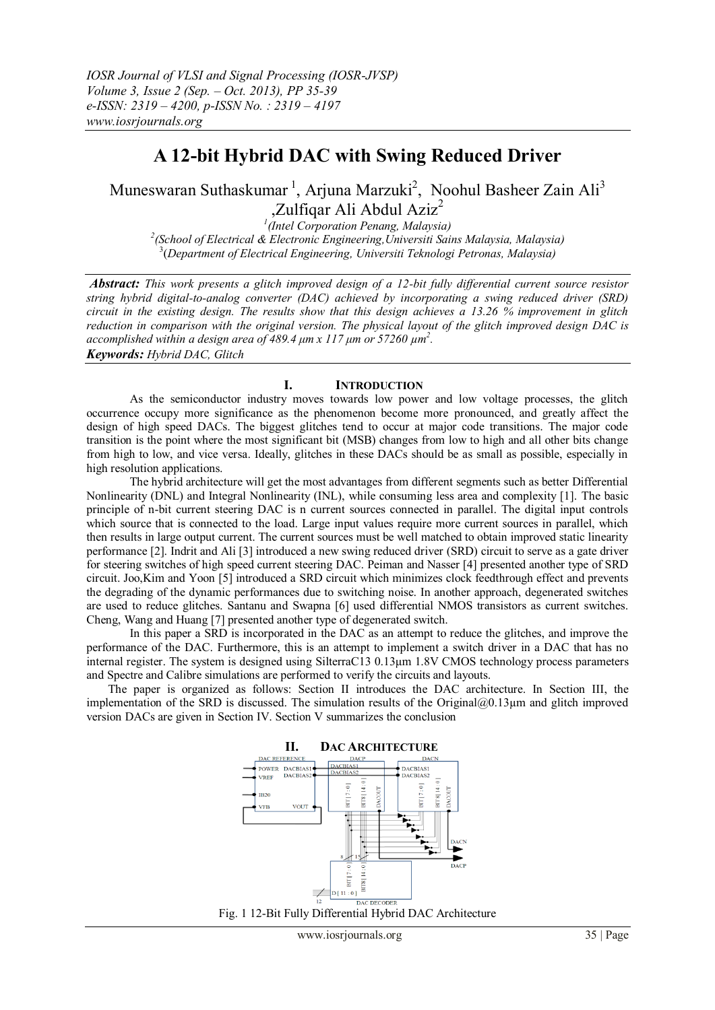# **A 12-bit Hybrid DAC with Swing Reduced Driver**

Muneswaran Suthaskumar<sup>1</sup>, Arjuna Marzuki<sup>2</sup>, Noohul Basheer Zain Ali<sup>3</sup> ,Zulfiqar Ali Abdul Aziz<sup>2</sup> *1 (Intel Corporation Penang, Malaysia)*

*2 (School of Electrical & Electronic Engineering,Universiti Sains Malaysia, Malaysia)* 3 (*Department of Electrical Engineering, Universiti Teknologi Petronas, Malaysia)*

*Abstract: This work presents a glitch improved design of a 12-bit fully differential current source resistor string hybrid digital-to-analog converter (DAC) achieved by incorporating a swing reduced driver (SRD) circuit in the existing design. The results show that this design achieves a 13.26 % improvement in glitch reduction in comparison with the original version. The physical layout of the glitch improved design DAC is accomplished within a design area of 489.4 μm x 117 μm or 57260 µm<sup>2</sup> . Keywords: Hybrid DAC, Glitch*

# **I. INTRODUCTION**

As the semiconductor industry moves towards low power and low voltage processes, the glitch occurrence occupy more significance as the phenomenon become more pronounced, and greatly affect the design of high speed DACs. The biggest glitches tend to occur at major code transitions. The major code transition is the point where the most significant bit (MSB) changes from low to high and all other bits change from high to low, and vice versa. Ideally, glitches in these DACs should be as small as possible, especially in high resolution applications.

The hybrid architecture will get the most advantages from different segments such as better Differential Nonlinearity (DNL) and Integral Nonlinearity (INL), while consuming less area and complexity [1]. The basic principle of n-bit current steering DAC is n current sources connected in parallel. The digital input controls which source that is connected to the load. Large input values require more current sources in parallel, which then results in large output current. The current sources must be well matched to obtain improved static linearity performance [2]. Indrit and Ali [3] introduced a new swing reduced driver (SRD) circuit to serve as a gate driver for steering switches of high speed current steering DAC. Peiman and Nasser [4] presented another type of SRD circuit. Joo,Kim and Yoon [5] introduced a SRD circuit which minimizes clock feedthrough effect and prevents the degrading of the dynamic performances due to switching noise. In another approach, degenerated switches are used to reduce glitches. Santanu and Swapna [6] used differential NMOS transistors as current switches. Cheng, Wang and Huang [7] presented another type of degenerated switch.

In this paper a SRD is incorporated in the DAC as an attempt to reduce the glitches, and improve the performance of the DAC. Furthermore, this is an attempt to implement a switch driver in a DAC that has no internal register. The system is designed using SilterraC13 0.13μm 1.8V CMOS technology process parameters and Spectre and Calibre simulations are performed to verify the circuits and layouts.

The paper is organized as follows: Section II introduces the DAC architecture. In Section III, the implementation of the SRD is discussed. The simulation results of the Original $@0.13 \mu$ m and glitch improved version DACs are given in Section IV. Section V summarizes the conclusion



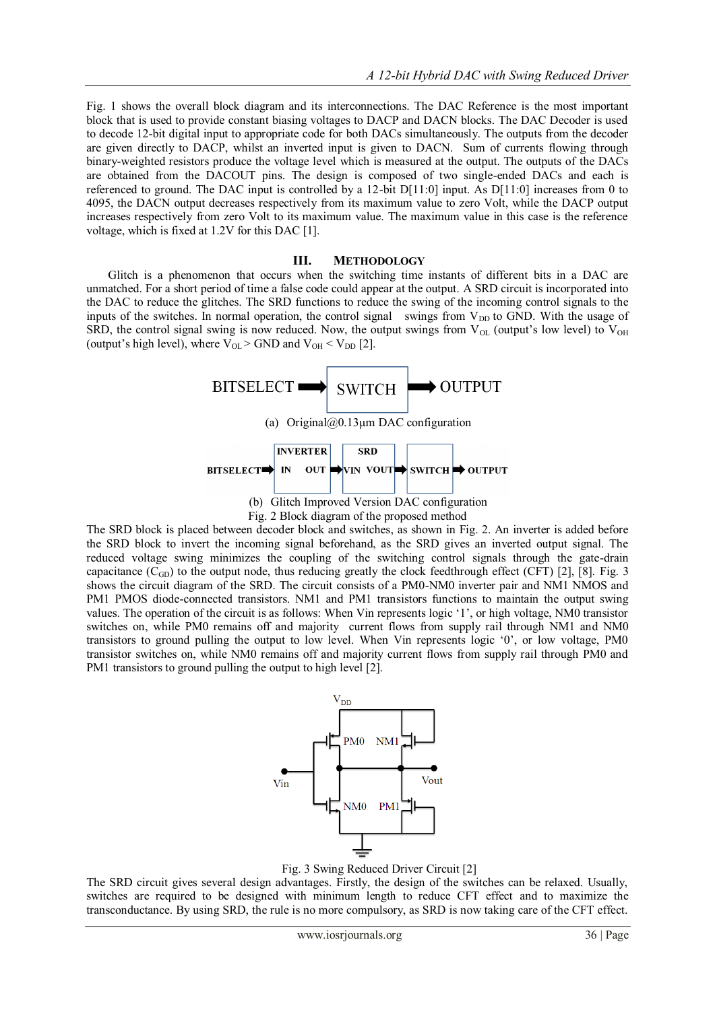Fig. 1 shows the overall block diagram and its interconnections. The DAC Reference is the most important block that is used to provide constant biasing voltages to DACP and DACN blocks. The DAC Decoder is used to decode 12-bit digital input to appropriate code for both DACs simultaneously. The outputs from the decoder are given directly to DACP, whilst an inverted input is given to DACN. Sum of currents flowing through binary-weighted resistors produce the voltage level which is measured at the output. The outputs of the DACs are obtained from the DACOUT pins. The design is composed of two single-ended DACs and each is referenced to ground. The DAC input is controlled by a 12-bit D[11:0] input. As D[11:0] increases from 0 to 4095, the DACN output decreases respectively from its maximum value to zero Volt, while the DACP output increases respectively from zero Volt to its maximum value. The maximum value in this case is the reference voltage, which is fixed at 1.2V for this DAC [1].

## **III. METHODOLOGY**

Glitch is a phenomenon that occurs when the switching time instants of different bits in a DAC are unmatched. For a short period of time a false code could appear at the output. A SRD circuit is incorporated into the DAC to reduce the glitches. The SRD functions to reduce the swing of the incoming control signals to the inputs of the switches. In normal operation, the control signal swings from  $V_{DD}$  to GND. With the usage of SRD, the control signal swing is now reduced. Now, the output swings from  $V_{OL}$  (output's low level) to  $V_{OH}$ (output's high level), where  $V_{OL}$  > GND and  $V_{OH}$  <  $V_{DD}$  [2].



Fig. 2 Block diagram of the proposed method

The SRD block is placed between decoder block and switches, as shown in Fig. 2. An inverter is added before the SRD block to invert the incoming signal beforehand, as the SRD gives an inverted output signal. The reduced voltage swing minimizes the coupling of the switching control signals through the gate-drain capacitance  $(C_{GD})$  to the output node, thus reducing greatly the clock feedthrough effect (CFT) [2], [8]. Fig. 3 shows the circuit diagram of the SRD. The circuit consists of a PM0-NM0 inverter pair and NM1 NMOS and PM1 PMOS diode-connected transistors. NM1 and PM1 transistors functions to maintain the output swing values. The operation of the circuit is as follows: When Vin represents logic '1', or high voltage, NM0 transistor switches on, while PM0 remains off and majority current flows from supply rail through NM1 and NM0 transistors to ground pulling the output to low level. When Vin represents logic '0', or low voltage, PM0 transistor switches on, while NM0 remains off and majority current flows from supply rail through PM0 and PM1 transistors to ground pulling the output to high level [2].



Fig. 3 Swing Reduced Driver Circuit [2]

The SRD circuit gives several design advantages. Firstly, the design of the switches can be relaxed. Usually, switches are required to be designed with minimum length to reduce CFT effect and to maximize the transconductance. By using SRD, the rule is no more compulsory, as SRD is now taking care of the CFT effect.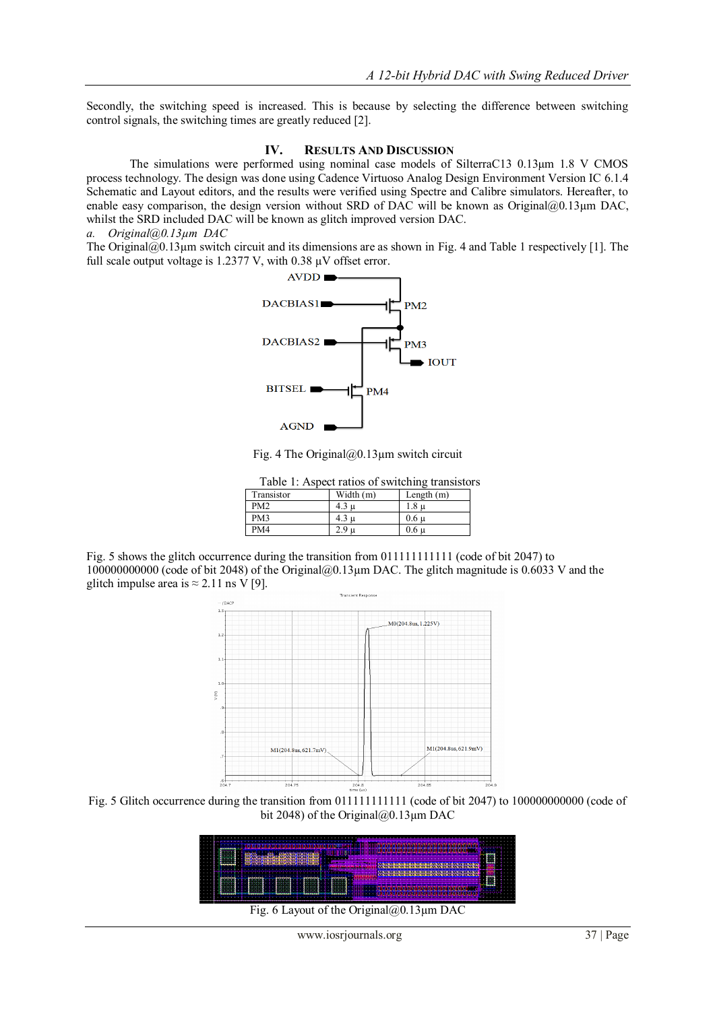Secondly, the switching speed is increased. This is because by selecting the difference between switching control signals, the switching times are greatly reduced [2].

# **IV. RESULTS AND DISCUSSION**

The simulations were performed using nominal case models of SilterraC13 0.13μm 1.8 V CMOS process technology. The design was done using Cadence Virtuoso Analog Design Environment Version IC 6.1.4 Schematic and Layout editors, and the results were verified using Spectre and Calibre simulators. Hereafter, to enable easy comparison, the design version without SRD of DAC will be known as Original@0.13µm DAC, whilst the SRD included DAC will be known as glitch improved version DAC.

#### *a. Original@0.13µm DAC*

The Original $@0.13\mu$ m switch circuit and its dimensions are as shown in Fig. 4 and Table 1 respectively [1]. The full scale output voltage is 1.2377 V, with 0.38  $\mu$ V offset error.



Fig. 4 The Original $@0.13 \mu$ m switch circuit

|                 |                  | Table 1: Aspect ratios of switching transistors |  |
|-----------------|------------------|-------------------------------------------------|--|
| Transistor      | Width (m)        | Length $(m)$                                    |  |
| PM <sub>2</sub> | 4.3 u            | 1.8 u                                           |  |
| PM3             | $4.3 \mathrm{u}$ | 0.6 <sub>u</sub>                                |  |
| PM4             | 2.9 <sub>u</sub> | $0.6 \mu$                                       |  |

Fig. 5 shows the glitch occurrence during the transition from 011111111111 (code of bit 2047) to 100000000000 (code of bit 2048) of the Original@0.13µm DAC. The glitch magnitude is 0.6033 V and the glitch impulse area is  $\approx 2.11$  ns V [9]. **Transient Response** 



Fig. 5 Glitch occurrence during the transition from 011111111111 (code of bit 2047) to 100000000000 (code of bit 2048) of the Original $@0.13 \mu$ m DAC

| . .        |     |  |            |  |     |     |  |  |          |   |  |  |       |              |  |  |  |   |  |  |  |  |  |     |  |  |  |  |  |  |  |  |  |  |  |  |  |    |  |  |  |  |
|------------|-----|--|------------|--|-----|-----|--|--|----------|---|--|--|-------|--------------|--|--|--|---|--|--|--|--|--|-----|--|--|--|--|--|--|--|--|--|--|--|--|--|----|--|--|--|--|
| .          |     |  |            |  |     |     |  |  |          |   |  |  |       |              |  |  |  |   |  |  |  |  |  |     |  |  |  |  |  |  |  |  |  |  |  |  |  |    |  |  |  |  |
| .          |     |  |            |  |     |     |  |  |          |   |  |  |       |              |  |  |  |   |  |  |  |  |  |     |  |  |  |  |  |  |  |  |  |  |  |  |  |    |  |  |  |  |
|            |     |  | *******    |  |     |     |  |  |          |   |  |  |       |              |  |  |  |   |  |  |  |  |  |     |  |  |  |  |  |  |  |  |  |  |  |  |  |    |  |  |  |  |
| . .<br>. . |     |  |            |  |     |     |  |  |          |   |  |  |       |              |  |  |  |   |  |  |  |  |  |     |  |  |  |  |  |  |  |  |  |  |  |  |  |    |  |  |  |  |
| .<br>.     | ٠   |  | ----       |  | . . |     |  |  |          |   |  |  |       |              |  |  |  |   |  |  |  |  |  |     |  |  |  |  |  |  |  |  |  |  |  |  |  |    |  |  |  |  |
| .          |     |  |            |  |     |     |  |  |          |   |  |  |       |              |  |  |  |   |  |  |  |  |  |     |  |  |  |  |  |  |  |  |  |  |  |  |  |    |  |  |  |  |
| .          |     |  |            |  |     |     |  |  |          |   |  |  |       |              |  |  |  |   |  |  |  |  |  | . . |  |  |  |  |  |  |  |  |  |  |  |  |  |    |  |  |  |  |
| . .        |     |  |            |  |     |     |  |  |          |   |  |  |       |              |  |  |  |   |  |  |  |  |  |     |  |  |  |  |  |  |  |  |  |  |  |  |  |    |  |  |  |  |
| .          |     |  |            |  |     |     |  |  |          |   |  |  |       |              |  |  |  |   |  |  |  |  |  |     |  |  |  |  |  |  |  |  |  |  |  |  |  |    |  |  |  |  |
| ---        |     |  |            |  |     |     |  |  |          |   |  |  |       |              |  |  |  |   |  |  |  |  |  |     |  |  |  |  |  |  |  |  |  |  |  |  |  | ٠. |  |  |  |  |
| .          |     |  |            |  |     |     |  |  |          |   |  |  |       | -----<br>. . |  |  |  |   |  |  |  |  |  |     |  |  |  |  |  |  |  |  |  |  |  |  |  |    |  |  |  |  |
| .          |     |  | .<br>----  |  |     |     |  |  |          | . |  |  |       | ,,,,,,,,     |  |  |  | . |  |  |  |  |  |     |  |  |  |  |  |  |  |  |  |  |  |  |  |    |  |  |  |  |
| .          |     |  |            |  |     |     |  |  |          |   |  |  | ,,,,, |              |  |  |  |   |  |  |  |  |  |     |  |  |  |  |  |  |  |  |  |  |  |  |  |    |  |  |  |  |
| .          | . . |  | . .<br>--- |  | . . | . . |  |  | . .<br>. |   |  |  | .     |              |  |  |  | . |  |  |  |  |  |     |  |  |  |  |  |  |  |  |  |  |  |  |  |    |  |  |  |  |
| . .        |     |  |            |  |     |     |  |  |          |   |  |  |       |              |  |  |  |   |  |  |  |  |  |     |  |  |  |  |  |  |  |  |  |  |  |  |  |    |  |  |  |  |
|            |     |  |            |  |     |     |  |  |          |   |  |  |       |              |  |  |  |   |  |  |  |  |  |     |  |  |  |  |  |  |  |  |  |  |  |  |  |    |  |  |  |  |
|            |     |  |            |  |     |     |  |  |          |   |  |  |       |              |  |  |  |   |  |  |  |  |  |     |  |  |  |  |  |  |  |  |  |  |  |  |  |    |  |  |  |  |

Fig. 6 Layout of the Original@0.13µm DAC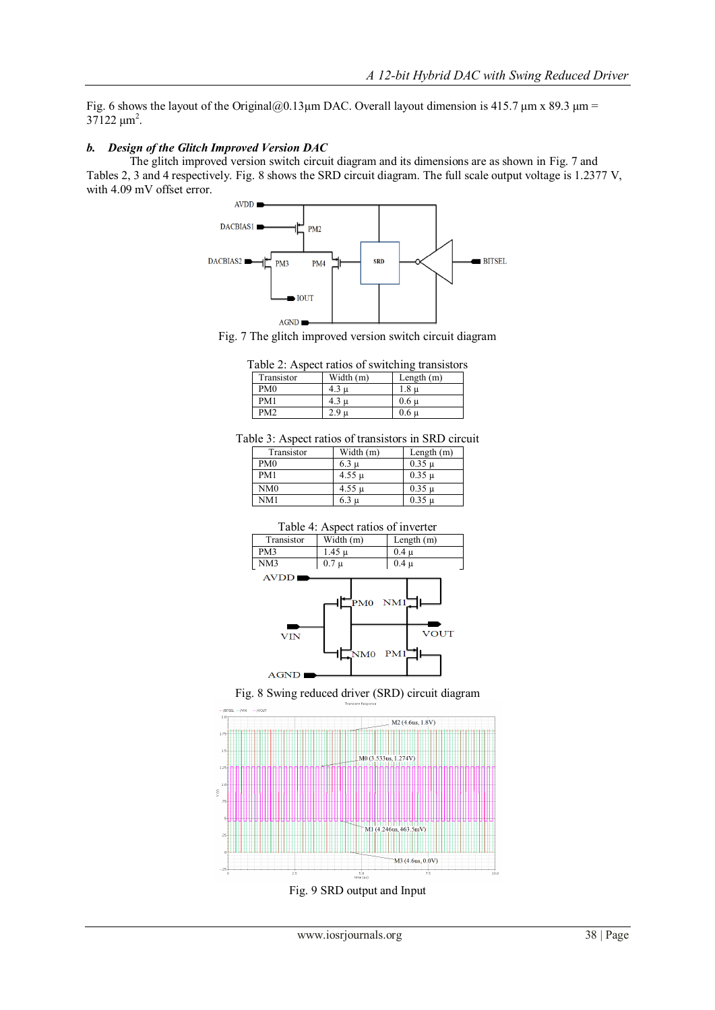Fig. 6 shows the layout of the Original@0.13 $\mu$ m DAC. Overall layout dimension is 415.7  $\mu$ m x 89.3  $\mu$ m =  $37122 \ \mu m^2$ .

## *b. Design of the Glitch Improved Version DAC*

The glitch improved version switch circuit diagram and its dimensions are as shown in Fig. 7 and Tables 2, 3 and 4 respectively. Fig. 8 shows the SRD circuit diagram. The full scale output voltage is 1.2377 V, with 4.09 mV offset error.



Fig. 7 The glitch improved version switch circuit diagram

|                 |                  | Table 2: Aspect ratios of switching transistors |
|-----------------|------------------|-------------------------------------------------|
| Transistor      | Width (m)        | Length $(m)$                                    |
| PM0             | $4.3 \mathrm{u}$ | $1.8 \mu$                                       |
| PM1             | $4.3 \mathrm{u}$ | $0.6 \mu$                                       |
| PM <sub>2</sub> | 2.9 п            | 0.6 <sub>µ</sub>                                |

Table 3: Aspect ratios of transistors in SRD circuit

| Transistor      | Width (m)  | Length $(m)$ |
|-----------------|------------|--------------|
| PM <sub>0</sub> | 6.3 u      | $0.35 \mu$   |
| PM1             | $4.55 \mu$ | $0.35 \mu$   |
| NM0             | $4.55 \mu$ | $0.35 \mu$   |
| NM1             | <b>u</b>   | $0.35 \mu$   |